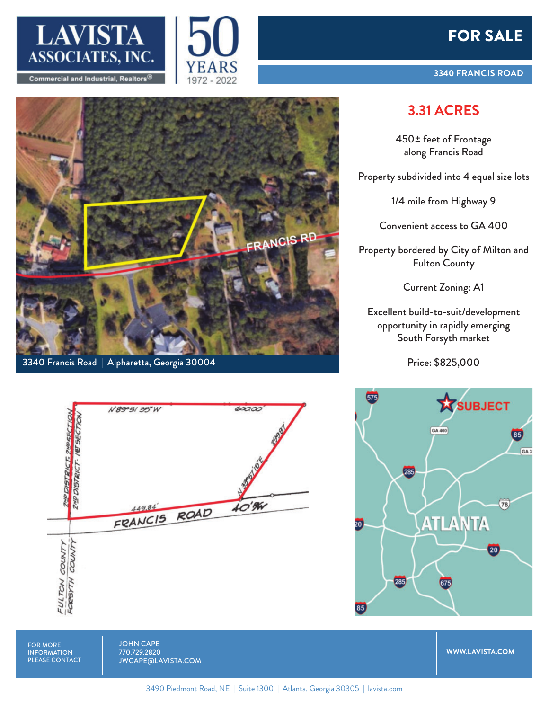





3340 Francis Road | Alpharetta, Georgia 30004



## **3.31 ACRES**

450± feet of Frontage along Francis Road

Property subdivided into 4 equal size lots

1/4 mile from Highway 9

Convenient access to GA 400

Property bordered by City of Milton and Fulton County

Current Zoning: A1

Excellent build-to-suit/development opportunity in rapidly emerging South Forsyth market

Price: \$825,000



**WWW.LAVISTA.COM**

FOR MORE INFORMATION PLEASE CONTACT JOHN CAPE 770.729.2820 JWCAPE@LAVISTA.COM

3490 Piedmont Road, NE | Suite 1300 | Atlanta, Georgia 30305 | lavista.com